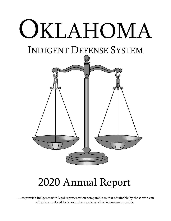# OKLAHOMA

## INDIGENT DEFENSE SYSTEM



## 2020 Annual Report

*. . . to provide indigents with legal representation comparable to that obtainable by those who can afford counsel and to do so in the most cost-effective manner possible.*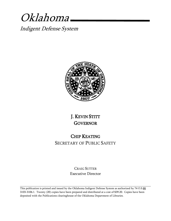## Oklahoma

Indigent Defense System



#### J. KEVIN STITT **GOVERNOR**

#### CHIP KEATING SECRETARY OF PUBLIC SAFETY

#### CRAIG SUTTER Executive Director

This publication is printed and issued by the Oklahoma Indigent Defense System as authorized by 74 O.S.§§ 3103-3106.1. Twenty (20) copies have been prepared and distributed at a cost of \$39.20. Copies have been deposited with the Publications clearinghouse of the Oklahoma Department of Libraries.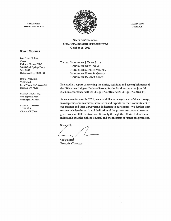

J. KEvIN Srrrr **GOVERNOR** 

STATE OF OKLAHOMA OKLAHOMA INDIGENT DEFENSE SYSTEM October 16, 2020

#### BOARD MEMBERS

**CRAIG SUTTER** ExECUTIVE DIRECTOR

JAKE JONES III, ESQ,, **CHAIR** Kirk and Chaney PLLC 14000 Quail Springs Pkwy Suite 3500 Oklahoma City, OK 73134

DONG. POPE, ESQ, VICE-CHAIR 611 24th Ave., SW, Suite 102 Norman, OK 73069

PATRICK MOORE, ESQ, One Edgevale Road Okmulgee, OK 74447

PATRICK T. CORNELL 117 N. 5<sup>th</sup> St. Clinton, OK 73601

TO THE HONORABLE J. KEVIN STITT HONORABLE GREG TREAT HONORABLE CHARLES MCCALL HONORABLE NOMA D. GURICH HONORABLE DAVID B. LEWIS

Enclosed is a report concerning the duties, activities and accomplishments of the Oklahoma Indigent Defense System for the fiscal year ending June 30, 2020, in accordance with 22 O.S. § 1355.3(B) and 22 O.S. § 1355.4(C)(14).

As we move forward in 2021, we would like to recognize all of the attorneys, investigators, administrators, secretaries and experts for their commitment to our mission and their unwavering dedication to our clients. We further wish to acknowledge the work and dedication of the private attorneys who serve generously as OIDS contractors. It is only through the efforts of all of these individuals that the right to counsel and the interests of justice are protected.

Sincerely,

Craig Sutter Executive Director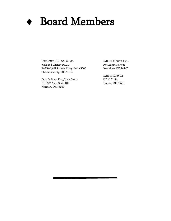

## Board Members

JAKE JONES, III, ESQ., CHAIR Kirk and Chaney PLLC 14000 Quail Springs Pkwy, Suite 3500 Oklahoma City, OK 73134

DON G. POPE, ESQ., VICE CHAIR 611 24th Ave., Suite 102 Norman, OK 73069

PATRICK MOORE, ESQ. One Edgevale Road Okmulgee, OK 74447

PATRICK CORNELL 117 N. 5th St. Clinton, OK 73601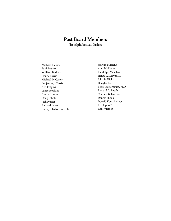#### Past Board Members

(In Alphabetical Order)

Michael Blevins Paul Brunton William Burkett Henry Burris Michael D. Carter Benjamin J. Curtis Ken Feagins Lance Hopkins Cheryl Hunter Doug Inhofe Jack Ivester Richard James Kathryn LaFortune, Ph.D. Marvin Martens Alan McPheron Randolph Meacham Henry A. Meyer, III John B. Nicks Douglas Parr Betty Pfefferbaum, M.D. Richard L. Reech Charles Richardson Dennis Shook Donald Kent Switzer Rod Uphoff Rod Wiemer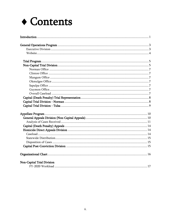## ◆ Contents

| Non-Capital Trial Division |  |
|----------------------------|--|
|                            |  |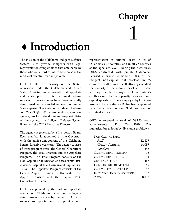## **Chapter**  1

## <span id="page-6-0"></span>Introduction

The mission of the Oklahoma Indigent Defense System is to provide indigents with legal representation comparable to that obtainable by those who can afford counsel and to do so in the most cost effective manner possible.

OIDS fulfills the majority of the State's obligations under the Oklahoma and United States Constitutions to provide trial, appellate and capital post-conviction criminal defense services to persons who have been judicially determined to be entitled to legal counsel at State expense. The Oklahoma Indigent Defense Act, 22 O.S. §§ 1355, et seq., which created the agency, sets forth the duties and responsibilities of the agency, the Indigent Defense System Board and the OIDS Executive Director.

The agency is governed by a five-person Board. Each member is appointed by the Governor, with the advice and consent of the Oklahoma Senate, for a five-year term. The agency consists of three program areas: the General Operations Program, the Trial Program and the Appellate Program. The Trial Program consists of the Non-Capital Trial Division and two capital trial divisions: Capital Trial Norman and Capital Trial Tulsa. The Appellate Program consists of the General Appeals Division, the Homicide Direct Appeals Division and the Capital Post-Conviction Division.

OIDS is appointed by the trial and appellate courts of Oklahoma after an indigence determination is made by the court. OIDS is subject to appointment to provide trial representation in criminal cases in 75 of Oklahoma's 77 counties, and in all 77 counties at the appellate level. During the fiscal year, OIDS contracted with private Oklahomalicensed attorneys to handle 100% of the indigent non-capital trial caseload in 55 counties. In 20 counties, staff attorneys handled the majority of the indigent caseload. Private attorneys handle the majority of the System's conflict cases. In death penalty cases and noncapital appeals, attorneys employed by OIDS are assigned the case after OIDS has been appointed by a district court or the Oklahoma Court of Criminal Appeals.

OIDS represented a total of 58,853 court appointments in Fiscal Year 2020. The numerical breakdown by division is as follows:

| NON-CAPITAL TRIAL                   |        |
|-------------------------------------|--------|
| Staff                               | 12,877 |
| County Contracts                    | 44,097 |
| Conflicts                           | 1,246  |
| CAPITAL TRIAL - NORMAN              | 16     |
| CAPITAL TRIAL - TULSA               | 15     |
| <b>GENERAL APPEALS</b>              | 467    |
| <b>HOMICIDE DIRECT APPEALS</b>      | 85     |
| CAPITAL POST CONVICTION             | 47     |
| <b>EXECUTIVE DIVISION CONFLICTS</b> | З      |
| TOTAL                               | 58,853 |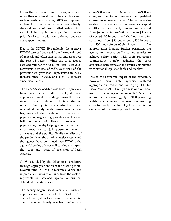Given the nature of criminal cases, most span more than one fiscal year. In complex cases, such as death penalty cases, OIDS may represent a client for three or more years. Accordingly, the total number of cases handled during a fiscal year includes appointments pending from the prior fiscal year in addition to the current year court appointments.

Due to the COVID-19 pandemic, the agency's FY2020 caseload departed from the typical trend of general, and often substantial, increases over the past 18 years. While the total agency caseload number of 58,853 for Fiscal Year 2020 represents decrease of 9.3% over that of the previous fiscal year, it still represented an 18.4% increase since FY2015, and a 34.1% increase since Fiscal Year 2010.

The FY2020 caseload decrease from the previous fiscal year is a result of delayed court appointments and proceedings during the initial stages of the pandemic and its continuing impact. Agency staff and contract attorneys worked diligently with prosecutors at the beginning of the pandemic to reduce jail populations, negotiating plea deals or lowered bail on behalf of clients to reduce jail populations, thereby helping alleviate the risk of virus exposure to jail personnel, clients, attorneys and the public. While the effects of the pandemic on the criminal justice system and the agency have continued into FY2021, the agency's backlog of cases will continue to impact the scope and speed of provision of legal services.

OIDS is funded by the Oklahoma Legislature through appropriations from the State's general revenue fund. OIDS also receives a varied and unpredictable amount of funds from the costs of representation assessed against a criminal defendant in certain cases.

The agency began Fiscal Year 2020 with an appropriation increase of \$1,109,245. This enabled the System to increase its non-capital conflict contract hourly rate from \$40 out-ofcourt/\$60 in-court to \$60 out-of-court/\$80 incourt, in order to continue to attract qualified counsel to represent clients. The increase also enabled the agency to increase its capital conflict contract hourly rate for lead counsel from \$60 out-of-court/\$80 in-court to \$80 outof-court/\$100 in-court, and the hourly rate for co-counsel from \$50 out-of-court/\$70 in-court to \$60 out-of-court/\$80 in-court. The appropriation increase further permitted the agency to increase staff attorney salaries to achieve salary parity with their prosecutor counterparts, thereby reducing the costs associated with turnover and ensure compliance with national legal standards and caselaw.

Due to the economic impact of the pandemic, however, most state agencies suffered appropriation reductions averaging 4% for Fiscal Year 2021. The System is one of those agencies, receiving a reduction of \$729,515 in its appropriation beginning July 1, 2020, providing additional challenges to its mission of ensuring constitutionally-effective legal representation on behalf of its court-appointed clients.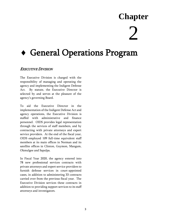### **Chapter**

## $\sum$

### <span id="page-8-0"></span>General Operations Program

#### <span id="page-8-1"></span>EXECUTIVE DIVISION

The Executive Division is charged with the responsibility of managing and operating the agency and implementing the Indigent Defense Act. By statute, the Executive Director is selected by and serves at the pleasure of the agency's governing Board.

To aid the Executive Director in the implementation of the Indigent Defense Act and agency operations, the Executive Division is staffed with administrative and finance personnel. OIDS provides legal representation through the services of staff members, and by contracting with private attorneys and expert service providers. At the end of the fiscal year, OIDS employed 109 full-time equivalent staff members at its main offices in Norman and its satellite offices in Clinton, Guymon, Mangum, Okmulgee and Sapulpa.

In Fiscal Year 2020, the agency entered into 78 new professional services contracts with private attorneys and expert service providers to furnish defense services in court-appointed cases, in addition to administering 33 contracts carried over from the previous fiscal year. The Executive Division services these contracts in addition to providing support services to its staff attorneys and investigators.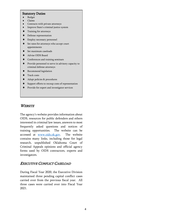#### Statutory Duties

- ◆ Budget
- Claims
- Contracts with private attorneys
- Improve State's criminal justice system
- Training for attorneys
- Defense representation
- Employ necessary personnel
- Set rates for attorneys who accept court appointments
- ◆ Set maximum caseloads
- Advise OIDS Board
- Conferences and training seminars
- Provide personnel to serve in advisory capacity to criminal defense attorneys
- ◆ Recommend legislation
- ◆ Track costs
- Adopt policies & procedures
- Support efforts to recoup costs of representation
- Provide for expert and investigator services

#### <span id="page-9-0"></span>**WEBSITE**

The agency's website provides information about OIDS, resources for public defenders and others interested in criminal law issues, answers to most frequently asked questions and notices of training opportunities. The website can be accessed at [www.oids.ok.gov.](http://www.oids.ok.gov/) The website contains many links, including those for legal research, unpublished Oklahoma Court of Criminal Appeals opinions and official agency forms used by OIDS contractors, experts and investigators.

#### EXECUTIVE CONFLICT CASELOAD

During Fiscal Year 2020, the Executive Division maintained three pending capital conflict cases carried over from the previous fiscal year. All three cases were carried over into Fiscal Year 2021.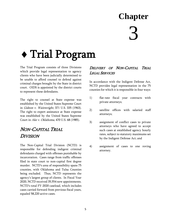### **Chapter**

## 3

## <span id="page-10-0"></span>Trial Program

The Trial Program consists of three Divisions which provide legal representation to agency clients who have been judicially determined to be unable to afford counsel to defend against criminal charges brought by the State in district court. OIDS is appointed by the district courts to represent these defendants.

The right to counsel at State expense was established by the United States Supreme Court in Gideon v. Wainwright, 371 U.S. 335 (1963). The right to expert assistance at State expense was established by the United States Supreme Court in Ake v. Oklahoma, 470 U.S. 68 (1985).

#### <span id="page-10-1"></span>NON-CAPITAL TRIAL **DIVISION**

The Non-Capital Trial Division (NCTD) is responsible for defending indigent criminal defendants charged with offenses punishable by incarceration. Cases range from traffic offenses filed in state court to non-capital first degree murder. NCTD's area of responsibility spans 75 counties, with Oklahoma and Tulsa Counties being excluded. Thus, NCTD represents the agency's largest group of clients. In Fiscal Year 2020, NCTD received 35,554 new appointments. NCTD's total FY-2020 caseload, which includes cases carried forward from previous fiscal years, equaled 58,220 active cases.

#### DELIVERY OF NON-CAPITAL TRIAL LEGAL SERVICES

In accordance with the Indigent Defense Act, NCTD provides legal representation in the 75 counties for which it is responsible in four ways:

- 1) flat-rate fiscal year contracts with private attorneys;
- 2) satellite offices with salaried staff attorneys;
- 3) assignment of conflict cases to private attorneys who have agreed to accept such cases at established agency hourly rates, subject to statutory maximums set by the Indigent Defense Act; and
- 4) assignment of cases to one roving attorney.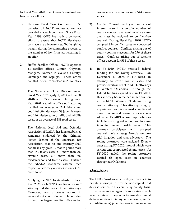In Fiscal Year 2020, the Division's caseload was handled as follows:

- 1) Flat-rate Fiscal Year Contracts: In 55 counties, all NCTD representation was provided via such contracts. Since Fiscal Year 1998, OIDS has made a concerted effort to ensure that NCTD fiscal-year contracts are adequately staffed by giving weight, during the contracting process, to the number of law firms participating in an offer.
- 2) Staffed Satellite Offices: NCTD operated six satellite offices: Clinton, Guymon, Mangum, Norman (Cleveland County), Okmulgee and Sapulpa. These offices handled the entire caseload in 20 counties.

The Non-Capital Trial Division ended Fiscal Year 2020 (July 1, 2019 – June 30, 2020) with 33 attorneys. During Fiscal Year 2020, a satellite office staff attorney handled an average of 224 felony and youthful offender cases, 38 juvenile cases, and 126 misdemeanor, traffic and wildlife cases, or an average of 388 total cases.

The National Legal Aid and Defender Association (NLADA) has long established standards, endorsed by the Criminal Justice Section of the American Bar Association, that no one attorney shall handle in any given 12 month period more than 150 felony cases, OR more than 200 juvenile cases, OR more than 400 misdemeanor and traffic cases. Further, the NLADA standards assume each respective attorney operates in only ONE courthouse.

Applying the NLADA standards, in Fiscal Year 2020, each NCTD satellite office staff attorney did the work of two attorneys. Moreover, most attorneys worked in several district courts in multiple counties. In fact, the largest satellite office region

covers seven courthouses and 7,544 square miles.

- 3) Conflict Counsel: Each year conflicts of interest arise in a certain number of county contract and satellite office cases and must be assigned to conflict-free counsel. During Fiscal Year 2020, NCTD assigned 854 conflict cases to contracted conflict counsel. Conflicts arising out of county contracts account for 296 of those cases. Conflicts arising out of satellite offices account for 558 of those cases.
- 4) In FY-2010, NCTD received federal funding for one roving attorney. On December 1, 2009, NCTD hired an attorney to cover conflict cases and provide overload relief to NCTD attorneys in Western Oklahoma. Although the federal funding expired late in FY-2011, this attorney has remained in her position as the NCTD Western Oklahoma roving conflict attorney. This attorney is highly experienced and is assigned complicated cases. A second roving attorney was added in FY-2019 whose responsibilities include assisting other counsel in cases involving mental health issues. This attorney participates with assigned counsel in trial strategy formulation, pretrial litigation and trial advocacy. The roving attorneys were assigned 35 new cases during FY-2020, most of which were serious and complicated felony cases. As FY-2020 ended, the roving attorneys carried 65 open cases in counties throughout Oklahoma.

#### **DISCUSSION**

The OIDS Board awards fiscal-year contracts to private attorneys to provide non-capital trial defense services on a county-by-county basis. In response to the agency's solicitations each year, private attorneys offer to provide criminal defense services in felony, misdemeanor, traffic and (delinquent) juvenile cases in one or more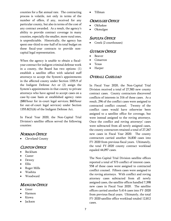counties for a flat annual rate. The contracting process is volatile, not only in terms of the number of offers, if any, received for any particular county, but also in terms of the cost of any contract awarded. As a result, the agency's ability to provide contract coverage in many counties, especially the smaller, more rural ones, is unpredictable. Historically, the agency has spent one-third to one-half of its total budget on these fiscal-year contracts to provide noncapital legal representation.

When the agency is unable to obtain a fiscalyear contract for indigent criminal defense work in a county, the Board has two options: (1) establish a satellite office with salaried staff attorneys to accept the System's appointments in the affected county under Section 1355.9 of the Indigent Defense Act or (2) assign the System's appointments in that county to private attorneys who have agreed to accept cases on a case-by-case basis at established agency rates (\$80/hour for in-court legal services; \$60/hour for out-of-court legal services) under Section 1355.8(D)(6) of the Indigent Defense Act.

In Fiscal Year 2020, the Non-Capital Trial Division's satellite offices served the following counties:

#### <span id="page-12-0"></span>NORMAN OFFICE

Cleveland County

#### <span id="page-12-1"></span>CLINTON OFFICE

- Beckham
- Custer
- Dewey
- Ellis
- Roger Mills
- Washita
- Woodward

#### <span id="page-12-2"></span>**MANGUM OFFICE**

- Greer
- Harmon
- Kiowa
- Jackson

Tillman

#### <span id="page-12-3"></span>OKMULGEE OFFICE

- Okfuskee
- Okmulgee

#### <span id="page-12-4"></span>**SAPULPA OFFICE**

Creek (2 courthouses)

#### <span id="page-12-5"></span>GUYMON OFFICE

- Beaver
- Cimarron
- Texas
- Harper

#### <span id="page-12-6"></span>OVERALL CASELOAD

In Fiscal Year 2020, the Non-Capital Trial Division received a total of 27,583 new county contract cases. County contractors discovered conflicts of interests in 316 of these cases. As a result, 296 of the conflict cases were assigned to contracted conflict counsel. Twenty of the conflict cases would have otherwise been assigned to a satellite office for coverage, but were instead assigned to the roving attorneys. Once the conflict and roving attorneys' cases were subtracted from all newly assigned cases, the county contractors retained a total of 27,267 new cases in Fiscal Year 2020. The county contractors carried another 16,830 cases into FY-2020 from previous fiscal years. Ultimately, the total FY-2020 county contract workload equaled 44,097 cases.

The Non-Capital Trial Division satellite offices reported a total of 573 conflict of interest cases. 558 of these cases were assigned to contracted conflict counsel. Fifteen cases were assigned to the roving attorneys. With conflict and roving attorney cases subtracted from all newly assigned cases, the satellite offices handled 7,398 new cases in Fiscal Year 2020. The satellite offices carried another 5,414 cases into FY-2020 from previous fiscal years. Ultimately, the total FY-2020 satellite office workload totaled 12,812 cases.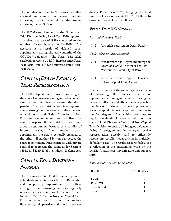The number of new NCTD cases, whether assigned to county contractors, satellite attorneys, conflict counsel or the roving attorneys, totaled 35,554.

The 58,220 cases handled by the Non-Capital Trial Division during Fiscal Year 2020 represent a caseload decrease of 9.2% compared to the number of cases handled in FY-2019. This decrease is a result of delayed court appointments during the early months of the COVID19 epidemic. The Fiscal Year 2020 caseload represents a 18.9 % increase since Fiscal Year 2015, and a 32.7% increase since Fiscal Year 2010.

#### <span id="page-13-0"></span>CAPITAL (DEATH PENALTY) TRIAL REPRESENTATION

The OIDS Capital Trial Divisions are assigned the task of representing indigent defendants in cases where the State is seeking the death penalty. The two Divisions combined represent clients throughout the State, with the exception of Oklahoma and Tulsa Counties. Both Divisions operate as separate law firms for conflict purposes. If one Division cannot accept a court appointment because of a conflict of interest arising from another court appointment, the case is generally assigned to the other. If neither Division can accept the court appointment, OIDS contracts with private counsel to represent the client under Sections 1355.7 and 1355.13 of the Indigent Defense Act.

#### <span id="page-13-1"></span>CAPITAL TRIAL DIVISION - **NORMAN**

The Norman Capital Trial Division represents defendants in capital cases filed in 46 counties and has primary responsibility for conflicts arising in the remaining counties regularly serviced by the Capital Trial Division – Tulsa. In Fiscal Year 2019 the Norman Capital Trial Division carried over 13 cases from previous fiscal years; and opened an additional three cases

during Fiscal Year 2020, bringing the total number of cases represented to 16. Of those 16 cases, four were closed as follows:

#### FISCAL YEAR 2020 RESULTS

#### Jury and Non-Jury Trials

2 Jury trials resulting in Death Penalty

#### Guilty Pleas or Cases Disposed

- $\Diamond$  1 Murder in the 1<sup>st</sup> Degree Involving the Death of a Child – Sentenced to Life Without the Possibility of Parole
- $\lozenge$  1 Bill of Particulars dropped Transferred to Non-Capital Trial Division

In an effort to meet the overall agency mission of providing the highest quality of representation to indigent defendants, using the most cost-effective and efficient means possible, the Division continued to accept appointments for non-capital clients charged with murder in the first degree. The Division continues to regularly maintain close contact with both the Capital Trial Division – Tulsa and Non-Capital Trial Division to ensure all indigent defendants facing first-degree murder charges receive representation quickly, and to efficiently resolve any conflict issues arising in multipledefendant cases. The results set forth below are a reflection of the outstanding work by the Division's attorneys, investigators and support staff.

#### Final Results of Cases Concluded

| Result      | No. Of Cases |
|-------------|--------------|
| Death       | 2            |
| Plea LWOP   | 1            |
| Transferred | 1            |
| Total       |              |
|             |              |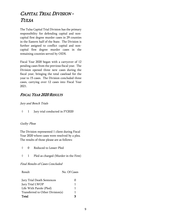#### <span id="page-14-0"></span>CAPITAL TRIAL DIVISION - TULSA

The Tulsa Capital Trial Division has the primary responsibility for defending capital and noncapital first degree murder cases in 29 counties in the Eastern half of the State. The Division is further assigned to conflict capital and noncapital first degree murder cases in the remaining counties served by OIDS.

Fiscal Year 2020 began with a carryover of 12 pending cases from the previous fiscal year. The Division opened three new cases during the fiscal year, bringing the total caseload for the year to 15 cases. The Division concluded three cases, carrying over 12 cases into Fiscal Year 2021.

#### FISCAL YEAR 2020 RESULTS

#### Jury and Bench Trials

◊ 1 Jury trial conducted in FY2020

#### Guilty Pleas

The Division represented 1 client during Fiscal Year 2020 where cases were resolved by a plea. The results of those please are as follows:

|  | ♦ 0 Reduced to Lesser-Pled |
|--|----------------------------|
|  |                            |

◊ 1 Pled as charged (Murder in the First)

#### Final Results of Cases Concluded

| Result                           | No. Of Cases |
|----------------------------------|--------------|
| Jury Trial Death Sentences       | 0            |
| Jury Trial LWOP                  | 1            |
| Life With Parole (Pled)          | 1            |
| Transferred to Other Division(s) | 1            |
| Total                            | ર            |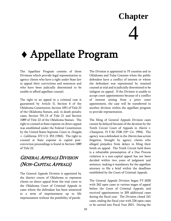## **Chapter**

## 4

## <span id="page-15-0"></span>Appellate Program

The Appellate Program consists of three Divisions which provide legal representation to agency clients who have a right under State law to appeal their convictions and sentences and who have been judicially determined to be unable to afford appellate counsel.

The right to an appeal in a criminal case is guaranteed by Article II, Section 6 of the Oklahoma Constitution, Section 1051 of Title 22 of the Oklahoma Statues, and, in death penalty cases, Section 701.13 of Title 21 and Section 1089 of Title 22 of the Oklahoma Statues. The right to counsel at State expense on direct appeal was established under the Federal Constitution by the United States Supreme Court in Douglas v. California, 372 U.S. 353 (1963). The right to counsel at State expense in capital postconviction proceedings is found in Section 1089 of Title 22.

#### <span id="page-15-1"></span>GENERAL APPEALS DIVISION (NON-CAPITAL APPEALS)

The General Appeals Division is appointed by the district courts of Oklahoma to represent clients on direct appeal from the trial court to the Oklahoma Court of Criminal Appeals in cases where the defendant has been sentenced to a term of imprisonment up to life imprisonment without the possibility of parole.

The Division is appointed in 75 counties and in Oklahoma and Tulsa Counties when the public defenders have a conflict of interest or where the defendant was represented by retained counsel at trial and is judicially determined to be indigent on appeal. If the Division is unable to accept court appointments because of a conflict of interest arising from a prior court appointment, the case will be transferred to another division within the appellate program to provide representation.

The filing of General Appeals Division cases cannot be delayed because of the decision by the Tenth Circuit Court of Appeals in *Harris v.* Champion, 15 F.3d 1538 (10th Cir. 1994). The agency was a defendant in the Harris class action litigation, brought by agency clients who alleged prejudice from delays in filing their briefs on appeal. The Tenth Circuit held there is a rebuttable presumption of a Due Process violation is a non-capital appeal has not been decided within two years of judgment and sentence, making it mandatory for the appellate attorney to file a brief within the deadlines established by the Court of Criminal Appeals.

The General Appeals Division began FY-2020 with 262 open cases in various stages of appeal before the Court of Criminal Appeals, and received appointments in 205 additional cases during the fiscal year. The Division closed 241 cases, ending the fiscal year with 226 open cases to be carried into Fiscal Year 2021. During the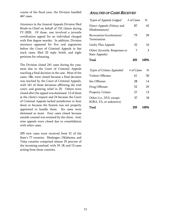course of the fiscal year, the Division handled 467 cases.

Attorneys in the General Appeals Division filed Briefs-in-Chief on behalf of 152 clients during FY-2020. Of those, one involved a juvenile certification appeal for an individual charged with first degree murder. In addition, Division attorneys appeared for five oral arguments before the Court of Criminal Appeals in fast track cases, filed 23 reply briefs, and eight petitions for rehearing.

The Division closed 241 cases during the year, most due to the Court of Criminal Appeals reaching a final decision in the case. Most of the cases, 186, were closed because a final decision was reached by the Court of Criminal Appeals, with 161 of those decisions affirming the trial court, and granting relief in 25. Others were closed after the appeal was dismissed, 12 of them at the client's request and 24 because the Court of Criminal Appeals lacked jurisdiction to hear them or because the System was not properly appointed to handle them. Six cases were dismissed as moot. Four cases closed because outside counsel was retained by the client. And, nine appeals were closed due to consolidation with other cases.

<span id="page-16-0"></span>205 new cases were received from 51 of the State's 77 counties. Muskogee, Oklahoma, and Tulsa counties comprised almost 25 percent of the incoming caseload, with 19, 18, and 13 cases arising from those counties.

#### ANALYSIS OF CASES RECEIVED

| Types of Appeals Lodged                            | # of Cases | %    |
|----------------------------------------------------|------------|------|
| Direct Appeals (Felony and<br>Misdemeanors)        | 87         | 42   |
| Revocation/Acceleration/<br>Termination            | 79         | 39   |
| Guilty Plea Appeals                                | 32         | 16   |
| Other (Juvenile, Responses to<br>State Appeals)    | 7          | 3    |
| Total                                              | 205        | 100% |
|                                                    |            |      |
| Types of Crimes Appealed                           | # of Cases | %    |
| Violent Offenses                                   | 61         | 30   |
| <b>Sex Offenses</b>                                | 28         | 14   |
| Drug Offenses                                      | 52         | 25   |
| <b>Property Crimes</b>                             | 27         | 13   |
| Other (i.e., DUI, escape,<br>SORA, FA, or unknown) | 37         | 18   |
|                                                    |            |      |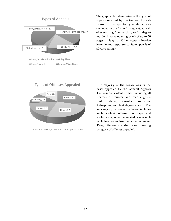

The graph at left demonstrates the types of appeals received by the General Appeals Division. Except for juvenile appeals (included in the "other" category), appeals of everything from burglary to first degree murder involve opening briefs of up to 50 pages in length. Other appeals involve juvenile and responses to State appeals of adverse rulings.



The majority of the convictions in the cases appealed by the General Appeals Division are violent crimes, including all degrees of murder and manslaughter, child abuse, assaults, robberies, kidnapping and first degree arson. The subcategory of sexual offenses includes such violent offenses as rape and molestation, as well as related crimes such as failure to register as a sex offender. Drug offenses are the second leading category of offenses appealed.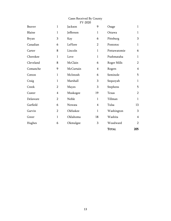#### Cases Received By County FY-2020

| Beaver       | $\mathbf{1}$   | Jackson      | 9              | Osage        | $\mathbf{1}$   |
|--------------|----------------|--------------|----------------|--------------|----------------|
| Blaine       | $\mathbf{1}$   | Jefferson    | $\mathbf{1}$   | Ottawa       | $\mathbf{1}$   |
| <b>Bryan</b> | 3              | Kay          | 6              | Pittsburg    | 3              |
| Canadian     | 6              | LeFlore      | $\overline{2}$ | Pontotoc     | $\mathbf{1}$   |
| Carter       | 8              | Lincoln      | $\mathbf{1}$   | Pottawatomie | 6              |
| Cherokee     | $\mathbf{1}$   | Love         | $\mathbf{1}$   | Pushmataha   | $\mathbf{1}$   |
| Cleveland    | 8              | McClain      | 6              | Roger Mills  | $\overline{2}$ |
| Comanche     | 9              | McCurtain    | $\overline{4}$ | Rogers       | $\overline{4}$ |
| Cotton       | $\mathbf{1}$   | McIntosh     | 6              | Seminole     | 5              |
| Craig        | $\mathbf{1}$   | Marshall     | 3              | Sequoyah     | $\mathbf{1}$   |
| Creek        | $\overline{2}$ | <b>Mayes</b> | 3              | Stephens     | 5              |
| Custer       | $\overline{4}$ | Muskogee     | 19             | Texas        | $\overline{2}$ |
| Delaware     | $\overline{2}$ | Noble        | $\mathbf{1}$   | Tillman      | $\mathbf{1}$   |
| Garfield     | 6              | Nowata       | $\overline{4}$ | Tulsa        | 13             |
| Garvin       | $\overline{2}$ | Okfuskee     | $\mathbf{1}$   | Washington   | 3              |
| Greer        | $\mathbf{1}$   | Oklahoma     | 18             | Washita      | $\overline{4}$ |
| Hughes       | 6              | Okmulgee     | 3              | Woodward     | $\overline{2}$ |
|              |                |              |                | <b>TOTAL</b> | 205            |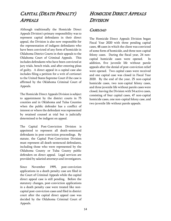#### <span id="page-19-0"></span>CAPITAL (DEATH PENALTY) APPEALS

Although traditionally the Homicide Direct Appeals Division's primary responsibility was to represent capital defendants in their direct appeal, the Division is also now responsible for the representation of indigent defendants who have been convicted of any form of homicide in Oklahoma District Courts in their appeals to the Oklahoma Court of Criminal Appeals. This includes defendants who have been convicted at jury trials, bench trials, and after entering pleas of guilty. A direct appeal in a capital case also includes filing a petition for a writ of certiorari to the United States Supreme Court if the case is affirmed by the Oklahoma Criminal Court of Appeals.

The Homicide Direct Appeals Division is subject to appointment by the district courts in 75 counties and in Oklahoma and Tulsa Counties when the public defender has a conflict of interest or where the defendant was represented by retained counsel at trial but is judicially determined to be indigent on appeal.

The Capital Post-Conviction Division is appointed to represent all death-sentenced defendants in post-conviction proceedings. By statute, the Capital Post-Conviction Division must represent all death-sentenced defendants, including those who were represented by the Oklahoma County or Tulsa County public defenders on direct appeal. Legal services are provided by salaried attorneys and investigators.

Since November 1995, post-conviction applications in a death penalty case are filed in the Court of Criminal Appeals while the capital direct appeal case is still pending. Before the statutory changes, post-conviction applications in a death penalty case were treated like noncapital post-conviction cases and filed in district court after the capital direct appeal case was decided by the Oklahoma Criminal Court of Appeals.

#### <span id="page-19-1"></span>HOMICIDE DIRECT APPEALS **DIVISION**

#### <span id="page-19-2"></span>CASELOAD

The Homicide Direct Appeals Division began Fiscal Year 2020 with three pending capital cases, 48 cases in which the client was convicted of some form of homicide, and three non-capital felony cases. During the fiscal year, 24 noncapital homicide cases were opened. In addition, five juvenile life without parole appeals after the denial of post-conviction relief were opened. Two capital cases were received and one capital case was closed in Fiscal Year 2020. By the end of the year, 25 non-capital homicide cases, two non-capital felony cases, and three juvenile life without parole cases were closed, leaving the Division with 54 active cases, consisting of four capital cases, 47 non-capital homicide cases, one non-capital felony case, and two juvenile life without parole appeals.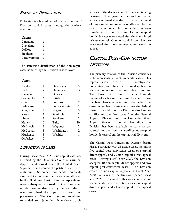#### <span id="page-20-0"></span>STATEWIDE DISTRIBUTION

Following is a breakdown of the distribution of Division capital cases among the various counties:

#### **County**

| Canadian     |   |
|--------------|---|
| Cleveland    | L |
| LeFlore      |   |
| Stephens     |   |
| Pottawatomie | L |

The statewide distribution of the non-capital cases handled by the Division is as follows:

#### **County**

| Caddo        | 1 | Oklahoma     | 5  |
|--------------|---|--------------|----|
| Carter       | 2 | Okmulgee     | З  |
| Cleveland    | 8 | Ottawa       |    |
| Comanche     | 6 | Pittsburg    | 1  |
| Creek        | 1 | Pontotoc     | 2  |
| Delaware     | 3 | Pottawatomie |    |
| Kingfisher   | 1 | Rogers       | 5  |
| Kiowa        | 1 | Seminole     | 1  |
| Lincoln      | 1 | Stephens     | 1  |
| <b>Mayes</b> | 2 | Tulsa        | 20 |
| McIntosh     | 1 | Wagoner      | 2  |
| McCurtain    | 3 | Washington   | 2  |
| Muskogee     | 3 | Washita      |    |
| Okfuskee     | 2 |              |    |

#### <span id="page-20-1"></span>DISPOSITION OF CASES

During Fiscal Year 2020, one capital case was affirmed by the Oklahoma Court of Criminal Appeals and closed after the United States Supreme Court denied the petition for writ of certiorari. Seventeen non-capital homicide cases and two non-murder cases were affirmed by the Oklahoma Court of Criminal Appeals and were subsequently closed. One non-capital murder case was dismissed by the Court after it was determined the appeal had been filed prematurely. The Court granted relief and remanded two juvenile life without parole

appeals to the district court for new sentencing hearings. One juvenile life without parole appeal was closed after the district court's denial of post-conviction relief was affirmed by the Court. Four non-capital homicide cases were transferred to other divisions. Two non-capital homicide cases were closed after the client hired private counsel. One non-capital homicide case was closed after the client elected to dismiss the appeal.

#### <span id="page-20-2"></span>CAPITAL POST-CONVICTION DIVISION

The primary mission of the Division continues to be representing clients in capital cases. This representation involves the investigation, preparation, and filing of an original application for post conviction relief and related motions. The Division strives to provide a thorough review of each case to ensure the clients have the best chance of obtaining relief when the cases move from state court into the federal system. In addition, the Division also handles conflict and overflow cases from the General Appeals Division and the Homicide Direct Appeals Division. When workload allows, the Division has been available to serve as cocounsel in overflow or conflict non-capital homicide cases from the capital trial divisions.

The Capital Post Conviction Division began Fiscal Year 2020 with 35 active cases, including five capital post conviction cases, one capital direct appeal, and 29 non-capital direct appeal cases. During Fiscal Year 2020, the Division accepted 10 non-capital direct appeals and two capital post-conviction cases. The Division closed 15 non-capital appeals in Fiscal Year 2020. As a result, the Division opened Fiscal Year 2021 with a total of 32 cases, comprised of seven capital post conviction cases, one capital direct appeal, and 24 non-capital direct appeal cases.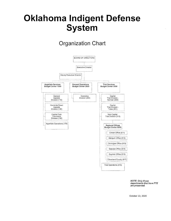### **Oklahoma Indigent Defense System**

#### **Organization Chart**



NOTE: Only those departments that have FTE are presented.

October 13, 2020